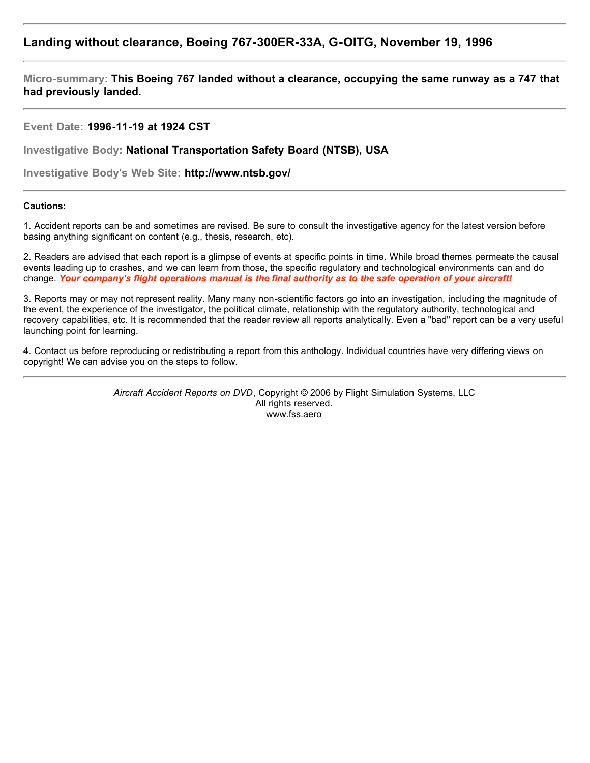## **Landing without clearance, Boeing 767-300ER-33A, G-OITG, November 19, 1996**

**Micro-summary: This Boeing 767 landed without a clearance, occupying the same runway as a 747 that had previously landed.**

## **Event Date: 1996-11-19 at 1924 CST**

**Investigative Body: National Transportation Safety Board (NTSB), USA**

**Investigative Body's Web Site: http://www.ntsb.gov/**

## **Cautions:**

1. Accident reports can be and sometimes are revised. Be sure to consult the investigative agency for the latest version before basing anything significant on content (e.g., thesis, research, etc).

2. Readers are advised that each report is a glimpse of events at specific points in time. While broad themes permeate the causal events leading up to crashes, and we can learn from those, the specific regulatory and technological environments can and do change. *Your company's flight operations manual is the final authority as to the safe operation of your aircraft!*

3. Reports may or may not represent reality. Many many non-scientific factors go into an investigation, including the magnitude of the event, the experience of the investigator, the political climate, relationship with the regulatory authority, technological and recovery capabilities, etc. It is recommended that the reader review all reports analytically. Even a "bad" report can be a very useful launching point for learning.

4. Contact us before reproducing or redistributing a report from this anthology. Individual countries have very differing views on copyright! We can advise you on the steps to follow.

> *Aircraft Accident Reports on DVD*, Copyright © 2006 by Flight Simulation Systems, LLC All rights reserved. www.fss.aero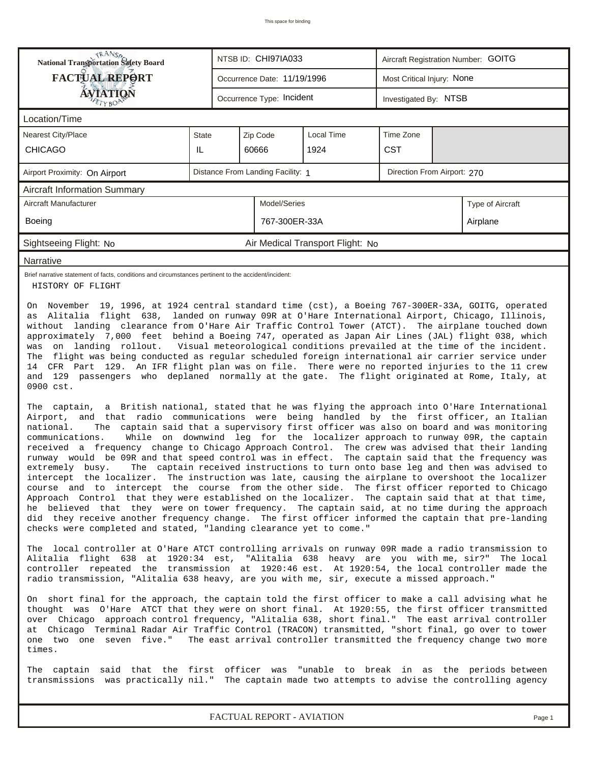| <b>National Transportation Safety Board</b>                                                                                                                                                                                                                                                                                                                                                                                                                                                                                                                                                                                                                                                                                                                                                                                                                                                                                                                                                                                                                                                                     |                                                                  |                               | NTSB ID: CHI97IA033         |                                  | Aircraft Registration Number: GOITG |  |                  |  |  |
|-----------------------------------------------------------------------------------------------------------------------------------------------------------------------------------------------------------------------------------------------------------------------------------------------------------------------------------------------------------------------------------------------------------------------------------------------------------------------------------------------------------------------------------------------------------------------------------------------------------------------------------------------------------------------------------------------------------------------------------------------------------------------------------------------------------------------------------------------------------------------------------------------------------------------------------------------------------------------------------------------------------------------------------------------------------------------------------------------------------------|------------------------------------------------------------------|-------------------------------|-----------------------------|----------------------------------|-------------------------------------|--|------------------|--|--|
| <b>FACTUAL REPORT</b>                                                                                                                                                                                                                                                                                                                                                                                                                                                                                                                                                                                                                                                                                                                                                                                                                                                                                                                                                                                                                                                                                           |                                                                  |                               | Occurrence Date: 11/19/1996 |                                  | Most Critical Injury: None          |  |                  |  |  |
| <b>ÁVIATIQÑ</b>                                                                                                                                                                                                                                                                                                                                                                                                                                                                                                                                                                                                                                                                                                                                                                                                                                                                                                                                                                                                                                                                                                 |                                                                  |                               | Occurrence Type: Incident   |                                  | Investigated By: NTSB               |  |                  |  |  |
| Location/Time                                                                                                                                                                                                                                                                                                                                                                                                                                                                                                                                                                                                                                                                                                                                                                                                                                                                                                                                                                                                                                                                                                   |                                                                  |                               |                             |                                  |                                     |  |                  |  |  |
| <b>Nearest City/Place</b>                                                                                                                                                                                                                                                                                                                                                                                                                                                                                                                                                                                                                                                                                                                                                                                                                                                                                                                                                                                                                                                                                       | State                                                            | <b>Local Time</b><br>Zip Code |                             |                                  | Time Zone                           |  |                  |  |  |
| <b>CHICAGO</b>                                                                                                                                                                                                                                                                                                                                                                                                                                                                                                                                                                                                                                                                                                                                                                                                                                                                                                                                                                                                                                                                                                  | IL                                                               |                               | 60666                       | 1924                             | <b>CST</b>                          |  |                  |  |  |
| Airport Proximity: On Airport                                                                                                                                                                                                                                                                                                                                                                                                                                                                                                                                                                                                                                                                                                                                                                                                                                                                                                                                                                                                                                                                                   | Distance From Landing Facility: 1<br>Direction From Airport: 270 |                               |                             |                                  |                                     |  |                  |  |  |
| <b>Aircraft Information Summary</b>                                                                                                                                                                                                                                                                                                                                                                                                                                                                                                                                                                                                                                                                                                                                                                                                                                                                                                                                                                                                                                                                             |                                                                  |                               |                             |                                  |                                     |  |                  |  |  |
| Aircraft Manufacturer                                                                                                                                                                                                                                                                                                                                                                                                                                                                                                                                                                                                                                                                                                                                                                                                                                                                                                                                                                                                                                                                                           |                                                                  |                               | Model/Series                |                                  |                                     |  | Type of Aircraft |  |  |
| Boeing                                                                                                                                                                                                                                                                                                                                                                                                                                                                                                                                                                                                                                                                                                                                                                                                                                                                                                                                                                                                                                                                                                          |                                                                  |                               | 767-300ER-33A               |                                  |                                     |  | Airplane         |  |  |
| Sightseeing Flight: No                                                                                                                                                                                                                                                                                                                                                                                                                                                                                                                                                                                                                                                                                                                                                                                                                                                                                                                                                                                                                                                                                          |                                                                  |                               |                             | Air Medical Transport Flight: No |                                     |  |                  |  |  |
| Narrative                                                                                                                                                                                                                                                                                                                                                                                                                                                                                                                                                                                                                                                                                                                                                                                                                                                                                                                                                                                                                                                                                                       |                                                                  |                               |                             |                                  |                                     |  |                  |  |  |
| Brief narrative statement of facts, conditions and circumstances pertinent to the accident/incident:<br>HISTORY OF FLIGHT                                                                                                                                                                                                                                                                                                                                                                                                                                                                                                                                                                                                                                                                                                                                                                                                                                                                                                                                                                                       |                                                                  |                               |                             |                                  |                                     |  |                  |  |  |
| was on landing rollout. Visual meteorological conditions prevailed at the time of the incident.<br>The flight was being conducted as regular scheduled foreign international air carrier service under<br>14 CFR Part 129. An IFR flight plan was on file. There were no reported injuries to the 11 crew<br>and 129 passengers who deplaned normally at the gate. The flight originated at Rome, Italy, at<br>0900 cst.<br>The captain, a British national, stated that he was flying the approach into O'Hare International<br>Airport, and that radio communications were being handled by the first officer, an Italian                                                                                                                                                                                                                                                                                                                                                                                                                                                                                     |                                                                  |                               |                             |                                  |                                     |  |                  |  |  |
| The captain said that a supervisory first officer was also on board and was monitoring<br>national.<br>While on downwind leg for the localizer approach to runway 09R, the captain<br>communications.<br>received a frequency change to Chicago Approach Control. The crew was advised that their landing<br>runway would be 09R and that speed control was in effect. The captain said that the frequency was<br>extremely busy.<br>The captain received instructions to turn onto base leg and then was advised to<br>intercept the localizer. The instruction was late, causing the airplane to overshoot the localizer<br>course and to intercept the course from the other side. The first officer reported to Chicago<br>Approach Control that they were established on the localizer. The captain said that at that time,<br>he believed that they were on tower frequency. The captain said, at no time during the approach<br>did they receive another frequency change. The first officer informed the captain that pre-landing<br>checks were completed and stated, "landing clearance yet to come." |                                                                  |                               |                             |                                  |                                     |  |                  |  |  |
| The local controller at O'Hare ATCT controlling arrivals on runway 09R made a radio transmission to<br>Alitalia flight 638 at 1920:34 est, "Alitalia 638 heavy are you with me, sir?" The local<br>controller repeated the transmission at 1920:46 est. At 1920:54, the local controller made the<br>radio transmission, "Alitalia 638 heavy, are you with me, sir, execute a missed approach."                                                                                                                                                                                                                                                                                                                                                                                                                                                                                                                                                                                                                                                                                                                 |                                                                  |                               |                             |                                  |                                     |  |                  |  |  |
| On short final for the approach, the captain told the first officer to make a call advising what he<br>thought was O'Hare ATCT that they were on short final. At 1920:55, the first officer transmitted<br>over Chicago approach control frequency, "Alitalia 638, short final." The east arrival controller<br>at Chicago Terminal Radar Air Traffic Control (TRACON) transmitted, "short final, go over to tower<br>one two one seven five." The east arrival controller transmitted the frequency change two more<br>times.                                                                                                                                                                                                                                                                                                                                                                                                                                                                                                                                                                                  |                                                                  |                               |                             |                                  |                                     |  |                  |  |  |
| The captain said that the first officer was "unable to break in as the periods between<br>transmissions was practically nil." The captain made two attempts to advise the controlling agency                                                                                                                                                                                                                                                                                                                                                                                                                                                                                                                                                                                                                                                                                                                                                                                                                                                                                                                    |                                                                  |                               |                             |                                  |                                     |  |                  |  |  |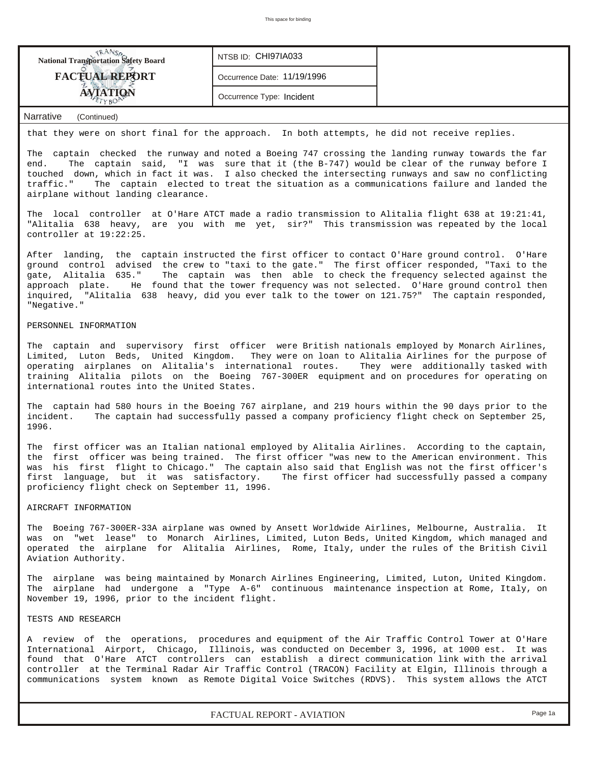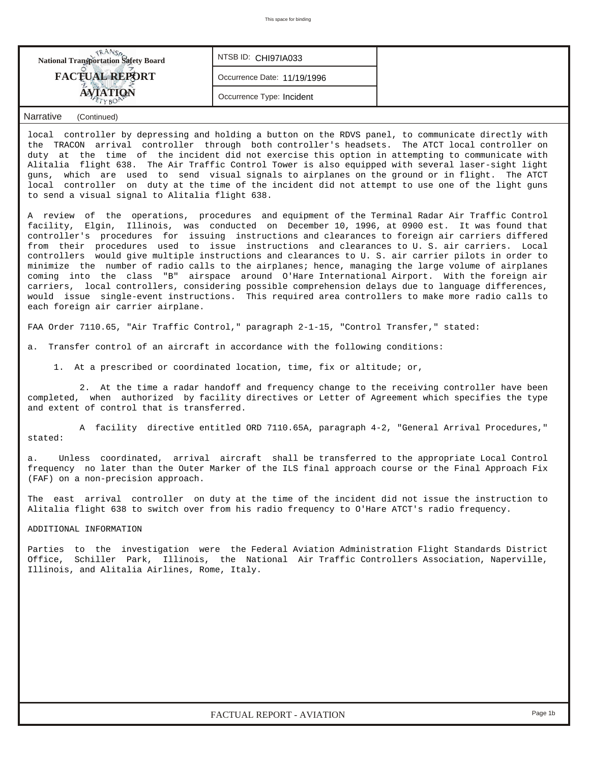| <b>NANSA</b><br>National Transportation Safety Board                                                                                                                                                                                                                                                                                                                                                                                                                                                                                                                                                                                                                                                                                                                                                                                                                                                                                                              | NTSB ID: CHI97IA033                                                    |                                                                                            |  |  |  |  |  |  |  |  |
|-------------------------------------------------------------------------------------------------------------------------------------------------------------------------------------------------------------------------------------------------------------------------------------------------------------------------------------------------------------------------------------------------------------------------------------------------------------------------------------------------------------------------------------------------------------------------------------------------------------------------------------------------------------------------------------------------------------------------------------------------------------------------------------------------------------------------------------------------------------------------------------------------------------------------------------------------------------------|------------------------------------------------------------------------|--------------------------------------------------------------------------------------------|--|--|--|--|--|--|--|--|
| <b>FACTUAL REPORT</b>                                                                                                                                                                                                                                                                                                                                                                                                                                                                                                                                                                                                                                                                                                                                                                                                                                                                                                                                             | Occurrence Date: 11/19/1996                                            |                                                                                            |  |  |  |  |  |  |  |  |
| <b>AVIATION</b><br>TYBO                                                                                                                                                                                                                                                                                                                                                                                                                                                                                                                                                                                                                                                                                                                                                                                                                                                                                                                                           | Occurrence Type: Incident                                              |                                                                                            |  |  |  |  |  |  |  |  |
| <b>Narrative</b><br>(Continued)                                                                                                                                                                                                                                                                                                                                                                                                                                                                                                                                                                                                                                                                                                                                                                                                                                                                                                                                   |                                                                        |                                                                                            |  |  |  |  |  |  |  |  |
| local controller by depressing and holding a button on the RDVS panel, to communicate directly with<br>the TRACON arrival controller through both controller's headsets. The ATCT local controller on<br>duty at the time of the incident did not exercise this option in attempting to communicate with<br>Alitalia flight 638. The Air Traffic Control Tower is also equipped with several laser-sight light<br>which are used to send visual signals to airplanes on the ground or in flight. The ATCT<br>quns,<br>local controller on duty at the time of the incident did not attempt to use one of the light guns<br>to send a visual signal to Alitalia flight 638.                                                                                                                                                                                                                                                                                        |                                                                        |                                                                                            |  |  |  |  |  |  |  |  |
| A review of the operations, procedures and equipment of the Terminal Radar Air Traffic Control<br>facility, Elgin, Illinois, was conducted on December 10, 1996, at 0900 est. It was found that<br>controller's procedures for issuing instructions and clearances to foreign air carriers differed<br>from their procedures used to issue instructions and clearances to U.S. air carriers. Local<br>controllers would give multiple instructions and clearances to U. S. air carrier pilots in order to<br>minimize the number of radio calls to the airplanes; hence, managing the large volume of airplanes<br>coming into the class "B" airspace around O'Hare International Airport. With the foreign air<br>carriers, local controllers, considering possible comprehension delays due to language differences,<br>would issue single-event instructions. This required area controllers to make more radio calls to<br>each foreign air carrier airplane. |                                                                        |                                                                                            |  |  |  |  |  |  |  |  |
| FAA Order 7110.65, "Air Traffic Control," paragraph 2-1-15, "Control Transfer," stated:                                                                                                                                                                                                                                                                                                                                                                                                                                                                                                                                                                                                                                                                                                                                                                                                                                                                           |                                                                        |                                                                                            |  |  |  |  |  |  |  |  |
| Transfer control of an aircraft in accordance with the following conditions:<br>а.                                                                                                                                                                                                                                                                                                                                                                                                                                                                                                                                                                                                                                                                                                                                                                                                                                                                                |                                                                        |                                                                                            |  |  |  |  |  |  |  |  |
|                                                                                                                                                                                                                                                                                                                                                                                                                                                                                                                                                                                                                                                                                                                                                                                                                                                                                                                                                                   | 1. At a prescribed or coordinated location, time, fix or altitude; or, |                                                                                            |  |  |  |  |  |  |  |  |
| 2. At the time a radar handoff and frequency change to the receiving controller have been<br>completed, when authorized by facility directives or Letter of Agreement which specifies the type<br>and extent of control that is transferred.                                                                                                                                                                                                                                                                                                                                                                                                                                                                                                                                                                                                                                                                                                                      |                                                                        |                                                                                            |  |  |  |  |  |  |  |  |
| stated:                                                                                                                                                                                                                                                                                                                                                                                                                                                                                                                                                                                                                                                                                                                                                                                                                                                                                                                                                           |                                                                        | A facility directive entitled ORD 7110.65A, paragraph 4-2, "General Arrival Procedures,"   |  |  |  |  |  |  |  |  |
| а.<br>frequency no later than the Outer Marker of the ILS final approach course or the Final Approach Fix<br>(FAF) on a non-precision approach.                                                                                                                                                                                                                                                                                                                                                                                                                                                                                                                                                                                                                                                                                                                                                                                                                   |                                                                        | Unless coordinated, arrival aircraft shall be transferred to the appropriate Local Control |  |  |  |  |  |  |  |  |
| The east arrival controller on duty at the time of the incident did not issue the instruction to<br>Alitalia flight 638 to switch over from his radio frequency to O'Hare ATCT's radio frequency.                                                                                                                                                                                                                                                                                                                                                                                                                                                                                                                                                                                                                                                                                                                                                                 |                                                                        |                                                                                            |  |  |  |  |  |  |  |  |
| ADDITIONAL INFORMATION                                                                                                                                                                                                                                                                                                                                                                                                                                                                                                                                                                                                                                                                                                                                                                                                                                                                                                                                            |                                                                        |                                                                                            |  |  |  |  |  |  |  |  |
| Parties to the investigation were the Federal Aviation Administration Flight Standards District<br>Office, Schiller Park, Illinois, the National Air Traffic Controllers Association, Naperville,<br>Illinois, and Alitalia Airlines, Rome, Italy.                                                                                                                                                                                                                                                                                                                                                                                                                                                                                                                                                                                                                                                                                                                |                                                                        |                                                                                            |  |  |  |  |  |  |  |  |
|                                                                                                                                                                                                                                                                                                                                                                                                                                                                                                                                                                                                                                                                                                                                                                                                                                                                                                                                                                   |                                                                        |                                                                                            |  |  |  |  |  |  |  |  |
|                                                                                                                                                                                                                                                                                                                                                                                                                                                                                                                                                                                                                                                                                                                                                                                                                                                                                                                                                                   |                                                                        |                                                                                            |  |  |  |  |  |  |  |  |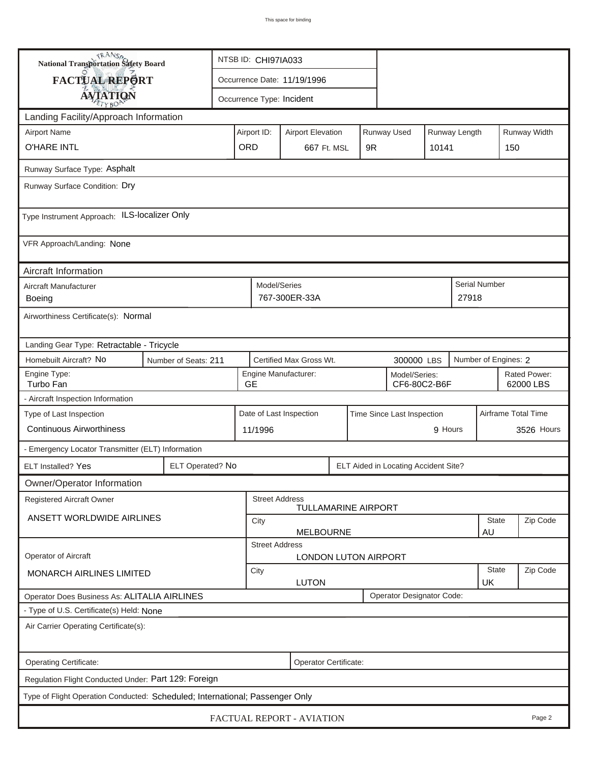| <b>National Transportation Safety Board</b>                                  |                      | NTSB ID: CHI97IA033                                                     |                                                       |                             |  |                                      |                    |          |                           |            |  |
|------------------------------------------------------------------------------|----------------------|-------------------------------------------------------------------------|-------------------------------------------------------|-----------------------------|--|--------------------------------------|--------------------|----------|---------------------------|------------|--|
| FACTUAL REPORT                                                               |                      | Occurrence Date: 11/19/1996                                             |                                                       |                             |  |                                      |                    |          |                           |            |  |
| <b>AVIATION</b>                                                              |                      |                                                                         | Occurrence Type: Incident                             |                             |  |                                      |                    |          |                           |            |  |
| Landing Facility/Approach Information                                        |                      |                                                                         |                                                       |                             |  |                                      |                    |          |                           |            |  |
| <b>Airport Name</b>                                                          |                      | Runway Used<br>Runway Length<br>Airport ID:<br><b>Airport Elevation</b> |                                                       |                             |  |                                      |                    |          | Runway Width              |            |  |
| <b>O'HARE INTL</b>                                                           | ORD                  | 667 Ft. MSL                                                             |                                                       | 9R                          |  | 10141                                | 150                |          |                           |            |  |
| Runway Surface Type: Asphalt                                                 |                      |                                                                         |                                                       |                             |  |                                      |                    |          |                           |            |  |
| Runway Surface Condition: Dry                                                |                      |                                                                         |                                                       |                             |  |                                      |                    |          |                           |            |  |
| Type Instrument Approach: ILS-localizer Only                                 |                      |                                                                         |                                                       |                             |  |                                      |                    |          |                           |            |  |
| VFR Approach/Landing: None                                                   |                      |                                                                         |                                                       |                             |  |                                      |                    |          |                           |            |  |
| Aircraft Information                                                         |                      |                                                                         |                                                       |                             |  |                                      |                    |          |                           |            |  |
| Aircraft Manufacturer<br>Boeing                                              |                      |                                                                         | Model/Series<br>767-300ER-33A                         |                             |  |                                      |                    | 27918    | Serial Number             |            |  |
| Airworthiness Certificate(s): Normal                                         |                      |                                                                         |                                                       |                             |  |                                      |                    |          |                           |            |  |
| Landing Gear Type: Retractable - Tricycle                                    |                      |                                                                         |                                                       |                             |  |                                      |                    |          |                           |            |  |
| Homebuilt Aircraft? No                                                       | Number of Seats: 211 |                                                                         | Certified Max Gross Wt.                               |                             |  | 300000 LBS                           |                    |          | Number of Engines: 2      |            |  |
| Engine Type:<br>Turbo Fan                                                    |                      | <b>GE</b>                                                               | Engine Manufacturer:<br>Model/Series:<br>CF6-80C2-B6F |                             |  |                                      |                    |          | Rated Power:<br>62000 LBS |            |  |
| - Aircraft Inspection Information                                            |                      |                                                                         |                                                       |                             |  |                                      |                    |          |                           |            |  |
| Type of Last Inspection                                                      |                      |                                                                         | Date of Last Inspection<br>Time Since Last Inspection |                             |  |                                      |                    |          | Airframe Total Time       |            |  |
| <b>Continuous Airworthiness</b>                                              |                      |                                                                         | 9 Hours<br>11/1996                                    |                             |  |                                      |                    |          |                           | 3526 Hours |  |
| - Emergency Locator Transmitter (ELT) Information                            |                      |                                                                         |                                                       |                             |  |                                      |                    |          |                           |            |  |
| ELT Installed? Yes                                                           | ELT Operated? No     |                                                                         |                                                       |                             |  | ELT Aided in Locating Accident Site? |                    |          |                           |            |  |
| Owner/Operator Information                                                   |                      |                                                                         |                                                       |                             |  |                                      |                    |          |                           |            |  |
| <b>Registered Aircraft Owner</b>                                             |                      |                                                                         | <b>Street Address</b>                                 | <b>TULLAMARINE AIRPORT</b>  |  |                                      |                    |          |                           |            |  |
| ANSETT WORLDWIDE AIRLINES                                                    |                      | City                                                                    | State<br><b>MELBOURNE</b>                             |                             |  |                                      |                    |          |                           | Zip Code   |  |
|                                                                              |                      |                                                                         | <b>Street Address</b>                                 |                             |  |                                      |                    |          | AU                        |            |  |
| <b>Operator of Aircraft</b>                                                  |                      |                                                                         |                                                       | <b>LONDON LUTON AIRPORT</b> |  |                                      |                    |          |                           |            |  |
| MONARCH AIRLINES LIMITED                                                     | City<br><b>LUTON</b> |                                                                         |                                                       |                             |  |                                      | <b>State</b><br>UK | Zip Code |                           |            |  |
| Operator Does Business As: ALITALIA AIRLINES                                 |                      |                                                                         |                                                       |                             |  | Operator Designator Code:            |                    |          |                           |            |  |
| - Type of U.S. Certificate(s) Held: None                                     |                      |                                                                         |                                                       |                             |  |                                      |                    |          |                           |            |  |
| Air Carrier Operating Certificate(s):                                        |                      |                                                                         |                                                       |                             |  |                                      |                    |          |                           |            |  |
| Operating Certificate:<br>Operator Certificate:                              |                      |                                                                         |                                                       |                             |  |                                      |                    |          |                           |            |  |
| Regulation Flight Conducted Under: Part 129: Foreign                         |                      |                                                                         |                                                       |                             |  |                                      |                    |          |                           |            |  |
| Type of Flight Operation Conducted: Scheduled; International; Passenger Only |                      |                                                                         |                                                       |                             |  |                                      |                    |          |                           |            |  |
| FACTUAL REPORT - AVIATION<br>Page 2                                          |                      |                                                                         |                                                       |                             |  |                                      |                    |          |                           |            |  |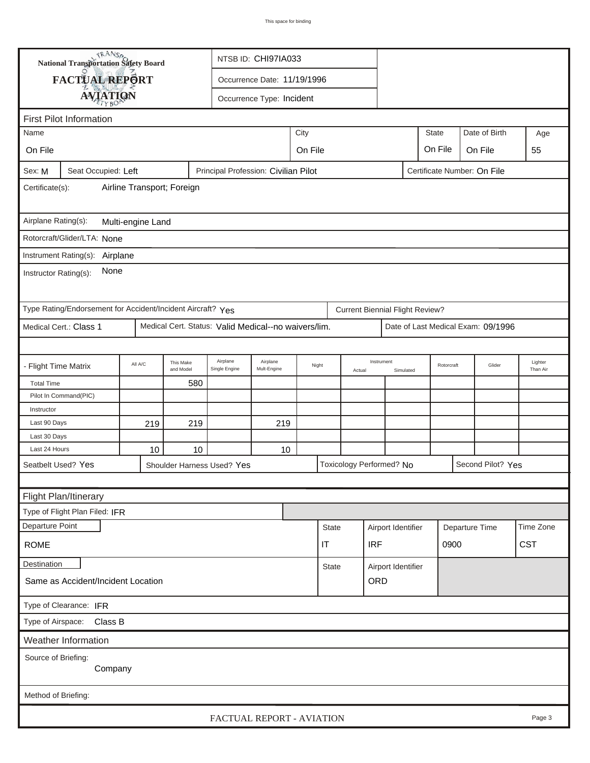| <b>National Transportation Safety Board</b><br>NTSB ID: CHI97IA033                                   |                                                             |         |                        |                                                      |                           |      |              |                    |                                        |           |              |            |                                    |                     |
|------------------------------------------------------------------------------------------------------|-------------------------------------------------------------|---------|------------------------|------------------------------------------------------|---------------------------|------|--------------|--------------------|----------------------------------------|-----------|--------------|------------|------------------------------------|---------------------|
|                                                                                                      | FACTUAL REPORT                                              |         |                        | Occurrence Date: 11/19/1996                          |                           |      |              |                    |                                        |           |              |            |                                    |                     |
|                                                                                                      | <b>AVIATION</b>                                             |         |                        |                                                      | Occurrence Type: Incident |      |              |                    |                                        |           |              |            |                                    |                     |
| <b>First Pilot Information</b>                                                                       |                                                             |         |                        |                                                      |                           |      |              |                    |                                        |           |              |            |                                    |                     |
| Name                                                                                                 |                                                             |         |                        |                                                      |                           | City |              |                    |                                        |           | <b>State</b> |            | Date of Birth                      | Age                 |
| On File                                                                                              |                                                             |         |                        |                                                      |                           |      |              |                    |                                        |           | On File      |            |                                    |                     |
|                                                                                                      |                                                             |         |                        |                                                      | On File<br>On File<br>55  |      |              |                    |                                        |           |              |            |                                    |                     |
| Sex: M<br>Seat Occupied: Left<br>Principal Profession: Civilian Pilot<br>Certificate Number: On File |                                                             |         |                        |                                                      |                           |      |              |                    |                                        |           |              |            |                                    |                     |
| Airline Transport; Foreign<br>Certificate(s):                                                        |                                                             |         |                        |                                                      |                           |      |              |                    |                                        |           |              |            |                                    |                     |
| Airplane Rating(s):<br>Multi-engine Land                                                             |                                                             |         |                        |                                                      |                           |      |              |                    |                                        |           |              |            |                                    |                     |
| Rotorcraft/Glider/LTA: None                                                                          |                                                             |         |                        |                                                      |                           |      |              |                    |                                        |           |              |            |                                    |                     |
|                                                                                                      | Instrument Rating(s): Airplane                              |         |                        |                                                      |                           |      |              |                    |                                        |           |              |            |                                    |                     |
|                                                                                                      |                                                             |         |                        |                                                      |                           |      |              |                    |                                        |           |              |            |                                    |                     |
| None<br>Instructor Rating(s):                                                                        |                                                             |         |                        |                                                      |                           |      |              |                    |                                        |           |              |            |                                    |                     |
|                                                                                                      | Type Rating/Endorsement for Accident/Incident Aircraft? Yes |         |                        |                                                      |                           |      |              |                    | <b>Current Biennial Flight Review?</b> |           |              |            |                                    |                     |
|                                                                                                      | Medical Cert.: Class 1                                      |         |                        | Medical Cert. Status: Valid Medical--no waivers/lim. |                           |      |              |                    |                                        |           |              |            | Date of Last Medical Exam: 09/1996 |                     |
|                                                                                                      |                                                             |         |                        |                                                      |                           |      |              |                    |                                        |           |              |            |                                    |                     |
| - Flight Time Matrix                                                                                 |                                                             | All A/C | This Make<br>and Model | Airplane<br>Single Engine                            | Airplane<br>Mult-Engine   |      | Night        | Actual             | Instrument                             | Simulated |              | Rotorcraft | Glider                             | Lighter<br>Than Air |
| <b>Total Time</b>                                                                                    |                                                             |         | 580                    |                                                      |                           |      |              |                    |                                        |           |              |            |                                    |                     |
|                                                                                                      | Pilot In Command(PIC)                                       |         |                        |                                                      |                           |      |              |                    |                                        |           |              |            |                                    |                     |
| Instructor                                                                                           |                                                             |         |                        |                                                      |                           |      |              |                    |                                        |           |              |            |                                    |                     |
| Last 90 Days                                                                                         |                                                             | 219     | 219                    |                                                      | 219                       |      |              |                    |                                        |           |              |            |                                    |                     |
| Last 30 Days                                                                                         |                                                             |         |                        |                                                      |                           |      |              |                    |                                        |           |              |            |                                    |                     |
| Last 24 Hours                                                                                        |                                                             | 10      | 10                     |                                                      | 10                        |      |              |                    |                                        |           |              |            |                                    |                     |
| Seatbelt Used? Yes                                                                                   |                                                             |         |                        | Shoulder Harness Used? Yes                           |                           |      |              |                    | Toxicology Performed? No               |           |              |            | Second Pilot? Yes                  |                     |
|                                                                                                      |                                                             |         |                        |                                                      |                           |      |              |                    |                                        |           |              |            |                                    |                     |
|                                                                                                      | Flight Plan/Itinerary                                       |         |                        |                                                      |                           |      |              |                    |                                        |           |              |            |                                    |                     |
|                                                                                                      | Type of Flight Plan Filed: IFR                              |         |                        |                                                      |                           |      |              |                    |                                        |           |              |            |                                    |                     |
| Departure Point                                                                                      |                                                             |         |                        |                                                      |                           |      | <b>State</b> |                    | Airport Identifier                     |           |              |            | Departure Time                     | Time Zone           |
| <b>IRF</b><br>0900<br><b>ROME</b><br>IT                                                              |                                                             |         |                        |                                                      |                           |      |              |                    | <b>CST</b>                             |           |              |            |                                    |                     |
| Destination                                                                                          |                                                             |         |                        |                                                      |                           |      | <b>State</b> | Airport Identifier |                                        |           |              |            |                                    |                     |
| Same as Accident/Incident Location                                                                   |                                                             |         |                        |                                                      |                           |      |              |                    | ORD                                    |           |              |            |                                    |                     |
| Type of Clearance: IFR                                                                               |                                                             |         |                        |                                                      |                           |      |              |                    |                                        |           |              |            |                                    |                     |
| Type of Airspace: Class B                                                                            |                                                             |         |                        |                                                      |                           |      |              |                    |                                        |           |              |            |                                    |                     |
| Weather Information                                                                                  |                                                             |         |                        |                                                      |                           |      |              |                    |                                        |           |              |            |                                    |                     |
| Source of Briefing:<br>Company                                                                       |                                                             |         |                        |                                                      |                           |      |              |                    |                                        |           |              |            |                                    |                     |
| Method of Briefing:                                                                                  |                                                             |         |                        |                                                      |                           |      |              |                    |                                        |           |              |            |                                    |                     |
|                                                                                                      |                                                             |         |                        |                                                      |                           |      |              |                    |                                        |           |              |            |                                    |                     |
|                                                                                                      |                                                             |         |                        |                                                      | FACTUAL REPORT - AVIATION |      |              |                    |                                        |           |              |            |                                    | Page 3              |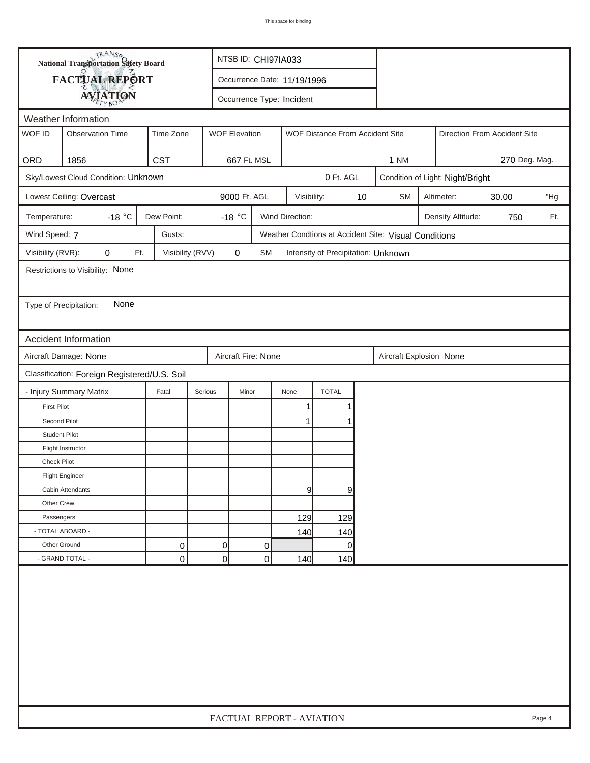|                        | <b>National Transportation Safety Board</b>  |                  |                | NTSB ID: CHI97IA033         |           |                           |                                     |    |                                                       |                                 |                                  |  |        |  |
|------------------------|----------------------------------------------|------------------|----------------|-----------------------------|-----------|---------------------------|-------------------------------------|----|-------------------------------------------------------|---------------------------------|----------------------------------|--|--------|--|
|                        | <b>FACTUAL REPORT</b>                        |                  |                | Occurrence Date: 11/19/1996 |           |                           |                                     |    |                                                       |                                 |                                  |  |        |  |
|                        | <b>AVIATION</b>                              |                  |                | Occurrence Type: Incident   |           |                           |                                     |    |                                                       |                                 |                                  |  |        |  |
|                        | Weather Information                          |                  |                |                             |           |                           |                                     |    |                                                       |                                 |                                  |  |        |  |
| WOF ID                 | <b>Observation Time</b>                      | Time Zone        |                | <b>WOF Elevation</b>        |           |                           | WOF Distance From Accident Site     |    | Direction From Accident Site                          |                                 |                                  |  |        |  |
| ORD                    | 1856                                         | <b>CST</b>       |                | 667 Ft. MSL                 |           |                           |                                     |    | 270 Deg. Mag.<br><b>1 NM</b>                          |                                 |                                  |  |        |  |
|                        | Sky/Lowest Cloud Condition: Unknown          |                  |                |                             |           |                           | 0 Ft. AGL                           |    |                                                       |                                 | Condition of Light: Night/Bright |  |        |  |
|                        | Lowest Ceiling: Overcast                     |                  |                | 9000 Ft. AGL                |           | Visibility:               |                                     | 10 | <b>SM</b>                                             | 30.00<br>"Hg<br>Altimeter:      |                                  |  |        |  |
| Temperature:           | -18 $\degree$ C                              | Dew Point:       |                | $-18$ °C                    |           | Wind Direction:           |                                     |    |                                                       | Density Altitude:<br>Ft.<br>750 |                                  |  |        |  |
| Wind Speed: 7          |                                              | Gusts:           |                |                             |           |                           |                                     |    | Weather Condtions at Accident Site: Visual Conditions |                                 |                                  |  |        |  |
| Visibility (RVR):      | 0<br>Ft.                                     | Visibility (RVV) |                | 0                           | <b>SM</b> |                           | Intensity of Precipitation: Unknown |    |                                                       |                                 |                                  |  |        |  |
|                        | Restrictions to Visibility: None             |                  |                |                             |           |                           |                                     |    |                                                       |                                 |                                  |  |        |  |
|                        |                                              |                  |                |                             |           |                           |                                     |    |                                                       |                                 |                                  |  |        |  |
| Type of Precipitation: | None                                         |                  |                |                             |           |                           |                                     |    |                                                       |                                 |                                  |  |        |  |
|                        |                                              |                  |                |                             |           |                           |                                     |    |                                                       |                                 |                                  |  |        |  |
|                        | Accident Information                         |                  |                |                             |           |                           |                                     |    |                                                       |                                 |                                  |  |        |  |
|                        | Aircraft Damage: None                        |                  |                | Aircraft Fire: None         |           |                           |                                     |    | Aircraft Explosion None                               |                                 |                                  |  |        |  |
|                        | Classification: Foreign Registered/U.S. Soil |                  |                |                             |           |                           |                                     |    |                                                       |                                 |                                  |  |        |  |
|                        | - Injury Summary Matrix                      | Fatal            | Serious        | Minor                       |           | None                      | <b>TOTAL</b>                        |    |                                                       |                                 |                                  |  |        |  |
| <b>First Pilot</b>     |                                              |                  |                |                             |           | 1                         |                                     |    |                                                       |                                 |                                  |  |        |  |
| Second Pilot           |                                              |                  |                |                             |           | 1                         |                                     |    |                                                       |                                 |                                  |  |        |  |
| <b>Student Pilot</b>   |                                              |                  |                |                             |           |                           |                                     |    |                                                       |                                 |                                  |  |        |  |
|                        | Flight Instructor                            |                  |                |                             |           |                           |                                     |    |                                                       |                                 |                                  |  |        |  |
| <b>Check Pilot</b>     |                                              |                  |                |                             |           |                           |                                     |    |                                                       |                                 |                                  |  |        |  |
|                        | <b>Flight Engineer</b>                       |                  |                |                             |           |                           |                                     |    |                                                       |                                 |                                  |  |        |  |
|                        | Cabin Attendants                             |                  |                |                             |           | 9                         | 9                                   |    |                                                       |                                 |                                  |  |        |  |
| Other Crew             |                                              |                  |                |                             |           |                           |                                     |    |                                                       |                                 |                                  |  |        |  |
| Passengers             |                                              |                  |                |                             |           | 129                       | 129                                 |    |                                                       |                                 |                                  |  |        |  |
| - TOTAL ABOARD -       |                                              |                  |                |                             |           | 140                       | 140                                 |    |                                                       |                                 |                                  |  |        |  |
| Other Ground           |                                              | 0                | $\overline{0}$ |                             | 0         |                           | 0                                   |    |                                                       |                                 |                                  |  |        |  |
|                        | - GRAND TOTAL -                              | $\mathbf 0$      | 0              |                             | 0         | 140                       | 140                                 |    |                                                       |                                 |                                  |  |        |  |
|                        |                                              |                  |                |                             |           |                           |                                     |    |                                                       |                                 |                                  |  |        |  |
|                        |                                              |                  |                |                             |           | FACTUAL REPORT - AVIATION |                                     |    |                                                       |                                 |                                  |  | Page 4 |  |